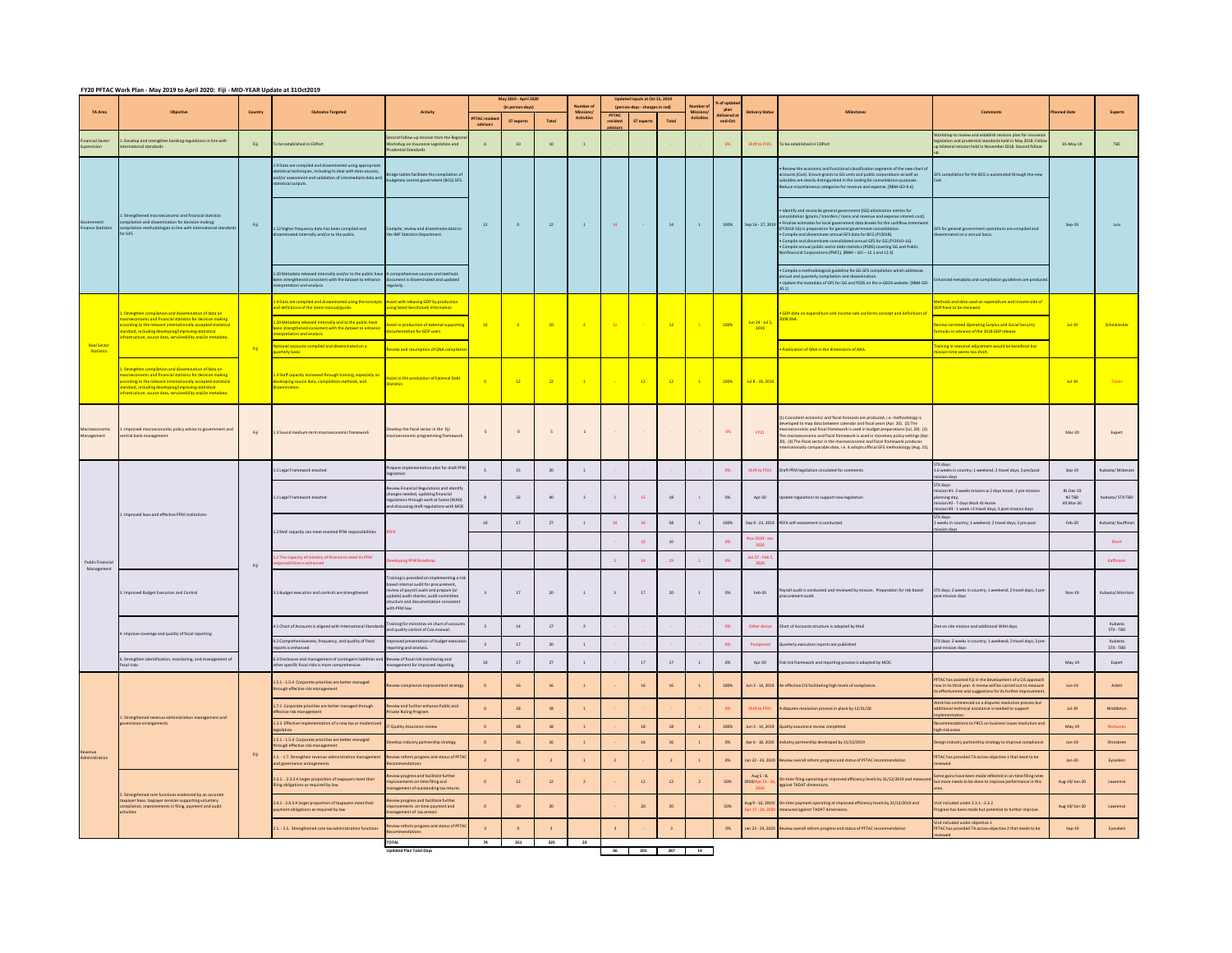## **FY20 PFTAC Work Plan - May 2019 to April 2020: Fiji - MID-YEAR Update at 31Oct2019**

|                                  |                                                                                                                                                                                                                                                                                             |                          |                                                                                                                                                                                          |                                                                                                                                                                                                                          | May 2019 - April 2020<br>fin nerson days |               | Number o                 | Updated Inputs at Oct 31, 2019 |                         | umber            |                         | G of upda<br>plan |                 |                         |                                                                                                                                                                                                                                                                                                                                                                                                                                                                                                                                                                                                  |                                                                                                                                                                                               |                                  |                      |
|----------------------------------|---------------------------------------------------------------------------------------------------------------------------------------------------------------------------------------------------------------------------------------------------------------------------------------------|--------------------------|------------------------------------------------------------------------------------------------------------------------------------------------------------------------------------------|--------------------------------------------------------------------------------------------------------------------------------------------------------------------------------------------------------------------------|------------------------------------------|---------------|--------------------------|--------------------------------|-------------------------|------------------|-------------------------|-------------------|-----------------|-------------------------|--------------------------------------------------------------------------------------------------------------------------------------------------------------------------------------------------------------------------------------------------------------------------------------------------------------------------------------------------------------------------------------------------------------------------------------------------------------------------------------------------------------------------------------------------------------------------------------------------|-----------------------------------------------------------------------------------------------------------------------------------------------------------------------------------------------|----------------------------------|----------------------|
| TA Area                          |                                                                                                                                                                                                                                                                                             | Country                  | <b>Outcome Targeted</b>                                                                                                                                                                  | Activity                                                                                                                                                                                                                 | TAC resider<br>advisors                  | ST experts    | Total                    | Missions<br>Activities         | PFTAC<br>resident       | <b>ST</b> expert | Total                   | Activitie         | end-Oct         |                         |                                                                                                                                                                                                                                                                                                                                                                                                                                                                                                                                                                                                  |                                                                                                                                                                                               | ted Date                         |                      |
| ncial Sector<br>pervision        | Develop and strengthen banking regulations in line with<br>chational standards                                                                                                                                                                                                              | Fig.                     | o be established in CDPort                                                                                                                                                               | ond follow-up mission from the Regi-<br>irkshop on Insurance Legislation and<br>dential Standards                                                                                                                        | $\circ$                                  | $10\,$        | $10$                     |                                |                         |                  |                         |                   | O%              | Shift to FY21           | To be established in CDPort                                                                                                                                                                                                                                                                                                                                                                                                                                                                                                                                                                      | Vorkshop to review and establish revision plan for insurance<br>islation and prudential standards held in May 2018. Folk<br>bilateral mission held in November 2018, Second follow-           | 01-May-19                        | TBC                  |
| <b>Finance Statistic</b>         | Strengthened macroeconomic and financial statistics<br>npilation and dissemination for decision making:<br>pilation methodologies in line with internati<br>.<br>Inal standar<br>or GFS                                                                                                     | Eiji                     | 1.9 Data are compiled and disseminated using appropria<br>atistical techniques, including to deal with data sources.<br>d/or assessment and validati-<br>in of lots<br>tistical outputs. | h data sources,<br>mediate data and budgetary central government (BCG) GFS.<br>budgetary central government (BCG) GFS.                                                                                                   |                                          |               |                          |                                |                         |                  |                         |                   |                 |                         | omic and functional classification segments of the new chart of<br>counts (CoA). Ensure grants to GG units and public corporations as well as<br>bsidies are clearly distinguished in the coding for consolidation purposes.<br>duce miscellaneous categories for revenue and expense. [RBM-GO-9.6]                                                                                                                                                                                                                                                                                              | GFS compilation for the BCG is automated through the new                                                                                                                                      |                                  |                      |
|                                  |                                                                                                                                                                                                                                                                                             |                          | 1.12 Higher frequency data has been compiled and<br>ted internally and/or to the public.                                                                                                 | Compile, review and disseminate data to<br>the IMF Statistics Department.                                                                                                                                                | 12                                       | $\circ$       | 12                       | $\overline{1}$                 | 14                      |                  | 14                      | $\overline{1}$    | 100%            |                         | dentify and reconcile general government (GG) elimination entries for<br>nsolidation [grants / transfers / loans and revenue and expense interest cost].<br>inalize estimates for local government data breaks for the cashflow statement<br>Sep 16 - 27, 2019 Finalize estimates to for general government<br>- Compile and disseminate annual GFS data for BCG (FY2018).<br>- Compile and disseminate consolidated annual GFS for GG (FY2010-16).<br>. Compile annual public sector debt statistics (PSDS) covering GG and Public<br>linancial Corporations (PNFC), (RBM - GO - 12.1 and 12.3) | GFS for general government operations are compiled and<br>minated on a annual basis.                                                                                                          | $Sep-19$                         |                      |
|                                  |                                                                                                                                                                                                                                                                                             |                          | .<br>20 Metadata released internally and/or to the public hav<br>en strengthened consistent with the dataset to enhance<br>rpretation and analysis.                                      | comprehensive sources and methods<br>ment is disseminated and updated<br>egularly.                                                                                                                                       |                                          |               |                          |                                |                         |                  |                         |                   |                 |                         | Compile a methodological guideline for GG GFS compilation which addresses<br>ual and quarterly co<br>Update the metadata of GFS for GG and PSDS on the e-GDDS website. [RBM-GO-                                                                                                                                                                                                                                                                                                                                                                                                                  | inhanced metadata and compilation guidelines are produ                                                                                                                                        |                                  |                      |
| <b>Real Sector</b><br>Statistics | tion and dissemination of data on<br>mic and financial statistics for decision making<br>ording to the relevant internationally accepted statistical<br>ndard, including developing/improving statistical<br>structure, source data, serviceability and/or metadata                         | <b>Fig.</b>              | A Data are compiled and disseminated using the concepts<br>nd definitions of the latest manual/guide.                                                                                    | <b>Assist with rebasing GDP by production</b><br>sing latest benchmark information                                                                                                                                       |                                          |               |                          |                                |                         |                  |                         |                   |                 |                         |                                                                                                                                                                                                                                                                                                                                                                                                                                                                                                                                                                                                  | thods and data used on expenditure and income side of<br>DP have to be reviewed.                                                                                                              |                                  |                      |
|                                  |                                                                                                                                                                                                                                                                                             |                          | 1.20 Metadata released internally and to the public have<br>een strengthened consistent with the dataset to enhance<br>emretation and analysis                                           | sist in production of external supportin<br>umentation for GDP users                                                                                                                                                     | 10 <sup>10</sup>                         | $\sqrt{2}$    | 10 <sup>10</sup>         | $\overline{2}$                 | $-12$                   |                  | 12                      |                   | 100%            | Jun 24 - Jul 5,<br>2019 | <b>CORNAND</b><br>militure and income side conforms concent and definitions of<br><b>DOB SNA</b>                                                                                                                                                                                                                                                                                                                                                                                                                                                                                                 | view corrected Operating Surplus and Social Security<br>mulas in advance of the 2018 GDP release.                                                                                             | Jul-19                           | Scheiblecker         |
|                                  |                                                                                                                                                                                                                                                                                             |                          | ational accounts compiled and disseminated on a<br>rterly basis                                                                                                                          | <b>New and resumption of QNA compilat</b>                                                                                                                                                                                |                                          |               |                          |                                |                         |                  |                         |                   |                 |                         | ublication of QNA in the dimensions of ANA.                                                                                                                                                                                                                                                                                                                                                                                                                                                                                                                                                      | aining in seasonal adjustment would be beneficial but<br>me seems too short.                                                                                                                  |                                  |                      |
|                                  | engthen compilation and dissemination of data or<br>roeconomic and financial statistics for decision making<br>neding to the relevant internationally accented statistical<br>dard, including developing/improving statistical<br>rastructure, source data, serviceability and/or metadata. |                          | 1.3 Staff capacity increased through training, especially on<br>eveloping source data, compilation methods, and<br>issemination                                                          | Assist in the production of External Debt<br><b>Statistics</b>                                                                                                                                                           | $ \alpha$                                | $-12.$        | $\overline{12}$          | $\overline{1}$                 |                         | $\overline{12}$  | $-12$                   | $\overline{1}$    | 100%            | Jul 8 - 19, 2019        |                                                                                                                                                                                                                                                                                                                                                                                                                                                                                                                                                                                                  |                                                                                                                                                                                               | 10049                            | Tenes                |
| Management                       | nproved macroeconomic policy advice to government and<br>ntral bank management                                                                                                                                                                                                              | $\mathbb{H}\mathfrak{p}$ | 1.3 Sound medium-term macroeconomic framework                                                                                                                                            | velop the fiscal sector in the Fiji<br>roeconomic programming frameworl                                                                                                                                                  | 5                                        |               | $\overline{\phantom{a}}$ |                                |                         |                  |                         |                   | 0%              | F121                    | Consistent economic and fiscal forecasts are produced, i.e. methodology is<br>eloped to map data between calendar and fiscal years (Apr. 20). (2) The<br>oeconomic and fiscal framework is used in budget preparations (Jul. 20). (3)<br>e macroeconomic and fiscal framework is used in monetary policy settings (Apr<br>20). (4) The fiscal sector in the macroeconomic and fiscal framework produces<br>mationally comparable data, i.e. it adopts official GFS methodology (Aug. 21).                                                                                                        |                                                                                                                                                                                               | Mar-20                           | Expert               |
| Public Financia<br>Management    | Improved laws and effective PFM institutions                                                                                                                                                                                                                                                | $_{\rm FII}$             | 1 Legal Framework enacted                                                                                                                                                                | epare implementation plan for draft PF<br>slation                                                                                                                                                                        | 5                                        | 15            | $20\,$                   | $\overline{1}$                 |                         |                  |                         |                   | O%              | Shift to FY21           | Draft PFM legislation circulated for comments                                                                                                                                                                                                                                                                                                                                                                                                                                                                                                                                                    | TX days<br>6 weeks in country; 1 weekend; 2 travel days; 3 pre/post<br>sion days                                                                                                              | $Sep-19$                         | ubasta/ Mckenzie     |
|                                  |                                                                                                                                                                                                                                                                                             |                          | 1.1 Legal Framework enacted                                                                                                                                                              | <b>New Financial Regulations and identify</b><br>changes needed, updating financial<br>regulations through work at home (WAH)<br>ind discussing draft regulations with MOB                                               |                                          | 32            | 40                       |                                |                         | $15\,$           | $18\,$                  |                   | $\circ$         | Apr-20                  | date regulations to support new legislation                                                                                                                                                                                                                                                                                                                                                                                                                                                                                                                                                      | TX days:<br>ssion #1-2 weeks mission w 2 days travel, 1 pre-mission<br>nning day;<br>:sion #2 - 7 days Work At Home<br>sion #3 - 1 week +2 travel days: 3 post mission days                   | #1 Dec-19<br>#2 TBD<br>#3 Mar-20 | Kubasta/ STX-TBD     |
|                                  |                                                                                                                                                                                                                                                                                             |                          |                                                                                                                                                                                          |                                                                                                                                                                                                                          | $10\,$                                   | $17$          | 27                       | $\,$ 1                         |                         |                  | 58                      | $\overline{1}$    | 100%            | Sep 9 - 23, 2019        | FA self-assessment is conducted                                                                                                                                                                                                                                                                                                                                                                                                                                                                                                                                                                  | "Nidays"<br>eeks in country; 1 weekend; 2 travel days; 3 pre-post<br>ion days                                                                                                                 | Feb-20                           | ubasta/ Kauffma      |
|                                  |                                                                                                                                                                                                                                                                                             |                          | 1.2 MoF capacity can meet enacted PFM responsibilities                                                                                                                                   |                                                                                                                                                                                                                          |                                          |               |                          |                                |                         | 10               | 10 <sup>10</sup>        |                   | 0%              | ov 2019 - Ja            |                                                                                                                                                                                                                                                                                                                                                                                                                                                                                                                                                                                                  |                                                                                                                                                                                               |                                  | Short                |
|                                  |                                                                                                                                                                                                                                                                                             |                          | 2 The capacity of ministry of finance to meet its PFM                                                                                                                                    | loping PFM Roadmap                                                                                                                                                                                                       |                                          |               |                          |                                | $\overline{\mathbf{S}}$ | $14$             | 19                      |                   | $_{\rm ON}$     | Jan 27 - Feb 7<br>2020  |                                                                                                                                                                                                                                                                                                                                                                                                                                                                                                                                                                                                  |                                                                                                                                                                                               |                                  | Kaffmann             |
|                                  | Improved Budget Execution and Control                                                                                                                                                                                                                                                       |                          | 1 Budget execution and controls are strengthened                                                                                                                                         | raining is provided on implementing a ris<br>ased internal audit for procurement.<br>iew of payroll audit and prepare (or<br>date) audit charter, audit committee<br>ructure and documentation consistent<br>ith PFM law | $\overline{\mathbf{3}}$                  | $17\,$        | $_{\rm 20}$              | $\,$ 1                         |                         | $17\,$           | $20\,$                  | $\overline{1}$    | 0%              | $Feb-20$                | ayroll audit is conducted and reviewed by mission. Preparation for risk based<br>curement audit.                                                                                                                                                                                                                                                                                                                                                                                                                                                                                                 | STX days: 2 weeks in country; 1 weekend; 2 travel days; 3 pre-<br>ost mission days                                                                                                            | Nov-19                           | Kubasta/Morrison     |
|                                  | Improve coverage and quality of fiscal reporting<br>Strengthen identification, monitoring, and management of<br>scal risks                                                                                                                                                                  |                          | 4.1 Chart of Accounts is aligned with International Standard                                                                                                                             | raining for ministries on chart of accou<br>nd quality control of Coa manual.                                                                                                                                            | $\overline{\mathbf{3}}$                  | $14\,$        | $17\,$                   | $\mathbf{2}$                   |                         |                  |                         |                   | 0%              | Other donc              | Chart of Accounts structure is adopted by MoE                                                                                                                                                                                                                                                                                                                                                                                                                                                                                                                                                    | ne on site mission and additional WAH days.                                                                                                                                                   |                                  | Kubasta<br>STX - TBD |
|                                  |                                                                                                                                                                                                                                                                                             |                          | 4.2 Comprehensiveness, frequency, and quality of fiscal<br>ports is enhanced                                                                                                             | roved presentation of budget executi<br>rting and analysis.                                                                                                                                                              | $\overline{3}$                           | $17\,$        | 20                       | $\overline{1}$                 |                         |                  |                         |                   | $\infty$        | Postponed               | uarterly execution reports are published                                                                                                                                                                                                                                                                                                                                                                                                                                                                                                                                                         | TX days: 2 weeks in country; 1 weekend; 2 travel days; 3 pre<br>st mission days                                                                                                               |                                  | Kubasta<br>STX - TRD |
|                                  |                                                                                                                                                                                                                                                                                             |                          | 6.3 Disclosure and management of contingent liabilities an<br>her specific fiscal risks is more comprehensive                                                                            | leview of fiscal risk monitoring and<br>nagement for improved reporting.                                                                                                                                                 | 10                                       | 17            | 27                       | $\overline{1}$                 |                         | 17               | 17                      | $\overline{1}$    | 0%              | Apr $-20$               | isk risk framework and reporting process is adopted by MOE.                                                                                                                                                                                                                                                                                                                                                                                                                                                                                                                                      |                                                                                                                                                                                               | $Mav-19$                         | Expert               |
| enue<br>Administration           | Strengthened revenue administration management and<br>mance arrangements                                                                                                                                                                                                                    | Fiji                     | 1.5.1 - 1.5.4 Corporate priorities are better managed<br>hrough effective risk management                                                                                                | ew compliance improvement strategy                                                                                                                                                                                       | $\circ$                                  | 16            | $16\,$                   |                                |                         | 16               | $16\,$                  |                   | 100%            | Jun 3 - 14, 2019        | effective CIS facilitating high levels of compliance.                                                                                                                                                                                                                                                                                                                                                                                                                                                                                                                                            | FTAC has assisted Fill in the development of a CIS approach<br>ow in its third year. A review will be carried out to measure<br>is effectiveness and suggestions for its further improvements | Jun.19                           | Aslett               |
|                                  |                                                                                                                                                                                                                                                                                             |                          | 1.7.1 Corporate priorities are better managed through<br>ffective risk management                                                                                                        | view and further enhance Public and<br>ivate Ruling Program                                                                                                                                                              | $\circ$                                  | $18\,$        | 18                       |                                |                         |                  |                         |                   |                 | Shift to FY21           | disputes resolution process in place by 12/31/20.                                                                                                                                                                                                                                                                                                                                                                                                                                                                                                                                                | ork has commenced on a disputes resolution process but<br>itional technical assistance is needed to support<br>lementation.                                                                   | Jul·19                           | Middleton            |
|                                  |                                                                                                                                                                                                                                                                                             |                          | 1.3.3 Effective implementation of a new tax or modernize<br>dation                                                                                                                       | Quality Assurance review                                                                                                                                                                                                 | $\circ$                                  | 18            | 18                       | $\,$ 1 $\,$                    |                         | $18\,$           | $18\,$                  |                   | 100%            | Jun 3 - 14, 2019        | ality assurance review completed                                                                                                                                                                                                                                                                                                                                                                                                                                                                                                                                                                 | mmendations to FRCS on business issues resolution and<br>gh-risk areas                                                                                                                        | $May-19$                         |                      |
|                                  |                                                                                                                                                                                                                                                                                             |                          | 1.5.1 - 1.5.4 Corporate priorities are better managed<br>ugh effective risk management                                                                                                   | evelop industry partnership strategy                                                                                                                                                                                     | $\circ$                                  | 16            | $16\,$                   | $\pm$                          |                         | 16               | $16\,$                  | $\,$ 1 $\,$       | $O\%$           | Apr 6 - 18, 2020        | Justry partnership developed by 31/12/2019                                                                                                                                                                                                                                                                                                                                                                                                                                                                                                                                                       | esign industry partnership strategy to improve compliance                                                                                                                                     | Jun.19                           | Shrosbree            |
|                                  |                                                                                                                                                                                                                                                                                             |                          | 1.1. - 1.7. Strengthen revenue administration management<br>nd governance arrangements                                                                                                   | leview reform progress and status of PFT/<br>nmendation:                                                                                                                                                                 | $\overline{2}$                           | $\circ$       | $\overline{2}$           | $\overline{1}$                 | $\overline{2}$          |                  | $\overline{2}$          | $\overline{1}$    | 0%              | an 22 - 24, 2020        | view overall reform progress and status of PFTAC recommendation                                                                                                                                                                                                                                                                                                                                                                                                                                                                                                                                  | FTAC has provided TA across objective 1 that need to be                                                                                                                                       | $Jan-20$                         | Eysselein            |
|                                  | engthened core functions evidenced by an accurate<br>spayer base, taxpayer services supporting voluntary<br>compliance, improvements in filing, payment and audit<br>activities                                                                                                             |                          | 2.3.1. - 2.3.2 A larger proportion of taxpayers meet their<br>iling obligations as required by law                                                                                       | iew progress and facilitate further<br>ovements on-time filing and<br>nagement of outstanding tax returns                                                                                                                | $\circ$                                  | $12\,$        | $12\,$                   | $\overline{2}$                 |                         | $12\,$           | $12\,$                  | $\,$ 2 $\,$       | $50\%$          | Aug S - 8,              | -time filing operating at improved efficiency levels by 31/12/2019 and measur<br>gainst TADAT dimensions.                                                                                                                                                                                                                                                                                                                                                                                                                                                                                        | me gains have been made reflected in on-time filing rates<br>ut more needs to be done to improve performance in this                                                                          | Aug-19/Jan-20                    | Lawrence             |
|                                  |                                                                                                                                                                                                                                                                                             |                          | 2.4.1 - 2.4.3 A larger proportion of taxpayers meet their<br>yment obligations as required by law                                                                                        | lew progress and facilitate further<br>nagement of tax arrears                                                                                                                                                           |                                          | $\mathbf{20}$ | $20\,$                   |                                |                         | ${\bf 20}$       | 20                      |                   | $50\%$          | ug 9 - 16, 2019/        | In-time payment operating at improved efficiency levels by 31/12/2019 and<br>asured against TADAT dimensions.                                                                                                                                                                                                                                                                                                                                                                                                                                                                                    | Sit included under 2.3.1 -2.3.2<br>ogress has been made but potential to further improve.                                                                                                     | Aug-19/Jan-20                    | Lawrence             |
|                                  |                                                                                                                                                                                                                                                                                             |                          | 2.1. - 2.5. Strengthened core tax administration functions                                                                                                                               | view reform progress and status of PFTA<br>mmendations                                                                                                                                                                   | $\overline{z}$                           | $\sqrt{2}$    | $\overline{z}$           |                                | $\overline{\mathbf{3}}$ |                  | $\overline{\mathbf{3}}$ |                   | OS <sub>1</sub> |                         | Jan 22 - 24, 2020 Review overall reform progress and status of PFTAC recommendation                                                                                                                                                                                                                                                                                                                                                                                                                                                                                                              | isit included under objective 1<br>PFTAC has provided TA across objective 2 that needs to be<br>igwed                                                                                         | $Sep-19$                         | Eysselein            |
|                                  |                                                                                                                                                                                                                                                                                             |                          |                                                                                                                                                                                          | TOTAL                                                                                                                                                                                                                    | 74                                       | 251           | 325                      | 23                             |                         |                  |                         |                   |                 |                         |                                                                                                                                                                                                                                                                                                                                                                                                                                                                                                                                                                                                  |                                                                                                                                                                                               |                                  |                      |

**Updated Plan Total Days 66 201 267 14**